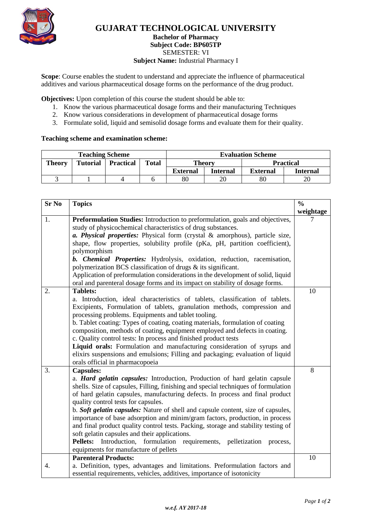

## **GUJARAT TECHNOLOGICAL UNIVERSITY**

#### **Bachelor of Pharmacy Subject Code: [BP605TP](javascript:PopupCenter_upload()** SEMESTER: VI **Subject Name:** Industrial Pharmacy I

**Scope**: Course enables the student to understand and appreciate the influence of pharmaceutical additives and various pharmaceutical dosage forms on the performance of the drug product.

**Objectives:** Upon completion of this course the student should be able to:

- 1. Know the various pharmaceutical dosage forms and their manufacturing Techniques
- 2. Know various considerations in development of pharmaceutical dosage forms
- 3. Formulate solid, liquid and semisolid dosage forms and evaluate them for their quality.

## **Teaching scheme and examination scheme:**

| <b>Teaching Scheme</b> |                 |                  |              | <b>Evaluation Scheme</b> |          |                  |          |
|------------------------|-----------------|------------------|--------------|--------------------------|----------|------------------|----------|
| Theory                 | <b>Tutorial</b> | <b>Practical</b> | <b>Total</b> | Theory                   |          | <b>Practical</b> |          |
|                        |                 |                  |              | <b>External</b>          | Internal | <b>External</b>  | Internal |
|                        |                 |                  |              | 80                       |          | 80               |          |

| <b>Sr No</b> | <b>Topics</b>                                                                                                                                  | $\frac{0}{0}$ |  |  |  |
|--------------|------------------------------------------------------------------------------------------------------------------------------------------------|---------------|--|--|--|
|              |                                                                                                                                                | weightage     |  |  |  |
| 1.           | Preformulation Studies: Introduction to preformulation, goals and objectives,                                                                  |               |  |  |  |
|              | study of physicochemical characteristics of drug substances.                                                                                   |               |  |  |  |
|              | a. Physical properties: Physical form (crystal & amorphous), particle size,                                                                    |               |  |  |  |
|              | shape, flow properties, solubility profile (pKa, pH, partition coefficient),                                                                   |               |  |  |  |
|              | polymorphism                                                                                                                                   |               |  |  |  |
|              | b. Chemical Properties: Hydrolysis, oxidation, reduction, racemisation,                                                                        |               |  |  |  |
|              | polymerization BCS classification of drugs & its significant.                                                                                  |               |  |  |  |
|              | Application of preformulation considerations in the development of solid, liquid                                                               |               |  |  |  |
|              | oral and parenteral dosage forms and its impact on stability of dosage forms.                                                                  |               |  |  |  |
| 2.           | <b>Tablets:</b>                                                                                                                                | 10            |  |  |  |
|              | a. Introduction, ideal characteristics of tablets, classification of tablets.                                                                  |               |  |  |  |
|              | Excipients, Formulation of tablets, granulation methods, compression and                                                                       |               |  |  |  |
|              | processing problems. Equipments and tablet tooling.                                                                                            |               |  |  |  |
|              | b. Tablet coating: Types of coating, coating materials, formulation of coating                                                                 |               |  |  |  |
|              | composition, methods of coating, equipment employed and defects in coating.<br>c. Quality control tests: In process and finished product tests |               |  |  |  |
|              | Liquid orals: Formulation and manufacturing consideration of syrups and                                                                        |               |  |  |  |
|              | elixirs suspensions and emulsions; Filling and packaging; evaluation of liquid                                                                 |               |  |  |  |
|              | orals official in pharmacopoeia                                                                                                                |               |  |  |  |
| 3.           | <b>Capsules:</b>                                                                                                                               | 8             |  |  |  |
|              | a. Hard gelatin capsules: Introduction, Production of hard gelatin capsule                                                                     |               |  |  |  |
|              | shells. Size of capsules, Filling, finishing and special techniques of formulation                                                             |               |  |  |  |
|              | of hard gelatin capsules, manufacturing defects. In process and final product                                                                  |               |  |  |  |
|              | quality control tests for capsules.                                                                                                            |               |  |  |  |
|              | b. Soft gelatin capsules: Nature of shell and capsule content, size of capsules,                                                               |               |  |  |  |
|              | importance of base adsorption and minim/gram factors, production, in process                                                                   |               |  |  |  |
|              | and final product quality control tests. Packing, storage and stability testing of                                                             |               |  |  |  |
|              | soft gelatin capsules and their applications.                                                                                                  |               |  |  |  |
|              | Pellets: Introduction, formulation requirements, pelletization<br>process,                                                                     |               |  |  |  |
|              | equipments for manufacture of pellets                                                                                                          |               |  |  |  |
|              | <b>Parenteral Products:</b>                                                                                                                    | 10            |  |  |  |
| 4.           | a. Definition, types, advantages and limitations. Preformulation factors and                                                                   |               |  |  |  |
|              | essential requirements, vehicles, additives, importance of isotonicity                                                                         |               |  |  |  |